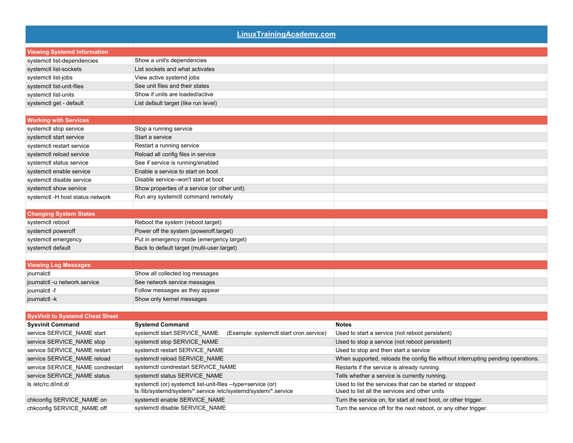| <b>LinuxTrainingAcademy.com</b>        |                                                                                                                                |                                                                                                           |
|----------------------------------------|--------------------------------------------------------------------------------------------------------------------------------|-----------------------------------------------------------------------------------------------------------|
| <b>Viewing Systemd Information</b>     |                                                                                                                                |                                                                                                           |
| systemctl list-dependencies            | Show a unit's dependencies                                                                                                     |                                                                                                           |
| systemctl list-sockets                 | List sockets and what activates                                                                                                |                                                                                                           |
| systemctl list-jobs                    | View active systemd jobs                                                                                                       |                                                                                                           |
| systemctl list-unit-files              | See unit files and their states                                                                                                |                                                                                                           |
| systemctl list-units                   | Show if units are loaded/active                                                                                                |                                                                                                           |
| systemctl get - default                | List default target (like run level)                                                                                           |                                                                                                           |
| <b>Working with Services</b>           |                                                                                                                                |                                                                                                           |
| systemctl stop service                 | Stop a running service                                                                                                         |                                                                                                           |
| systemctl start service                | Start a service                                                                                                                |                                                                                                           |
| systemctl restart service              | Restart a running service                                                                                                      |                                                                                                           |
| systemctl reload service               | Reload all config files in service                                                                                             |                                                                                                           |
| systemctl status service               | See if service is running/enabled                                                                                              |                                                                                                           |
| systemctl enable service               | Enable a service to start on boot                                                                                              |                                                                                                           |
| systemctl disable service              | Disable service--won't start at boot                                                                                           |                                                                                                           |
| systemctl show service                 | Show properties of a service (or other unit)                                                                                   |                                                                                                           |
| systemctl -H host status network       | Run any systemctl command remotely                                                                                             |                                                                                                           |
| <b>Changing System States</b>          |                                                                                                                                |                                                                                                           |
| systemctl reboot                       | Reboot the system (reboot target)                                                                                              |                                                                                                           |
| systemctl poweroff                     | Power off the system (poweroff.target)                                                                                         |                                                                                                           |
| systemctl emergency                    | Put in emergency mode (emergency target)                                                                                       |                                                                                                           |
| systemctl default                      | Back to default target (multi-user.target)                                                                                     |                                                                                                           |
| <b>Viewing Log Messages</b>            |                                                                                                                                |                                                                                                           |
| journalctl                             | Show all collected log messages                                                                                                |                                                                                                           |
| journalctl -u network.service          | See network service messages                                                                                                   |                                                                                                           |
| journalctl -f                          | Follow messages as they appear                                                                                                 |                                                                                                           |
| journalctl - k                         | Show only kernel messages                                                                                                      |                                                                                                           |
| <b>SysVinit to Systemd Cheat Sheet</b> |                                                                                                                                |                                                                                                           |
| <b>Sysvinit Command</b>                | <b>Systemd Command</b>                                                                                                         | <b>Notes</b>                                                                                              |
| service SERVICE_NAME start             | systemctl start SERVICE_NAME<br>(Example: systemctl start cron.service)                                                        | Used to start a service (not reboot persistent)                                                           |
| service SERVICE_NAME stop              | systemctl stop SERVICE_NAME                                                                                                    | Used to stop a service (not reboot persistent)                                                            |
| service SERVICE_NAME restart           | systemctl restart SERVICE_NAME                                                                                                 | Used to stop and then start a service                                                                     |
| service SERVICE_NAME reload            | systemctl reload SERVICE NAME                                                                                                  | When supported, reloads the config file without interrupting pending operations.                          |
| service SERVICE_NAME condrestart       | systemctl condrestart SERVICE_NAME                                                                                             | Restarts if the service is already running.                                                               |
| service SERVICE_NAME status            | systemctl status SERVICE NAME                                                                                                  | Tells whether a service is currently running.                                                             |
| ls /etc/rc.d/init.d/                   | systemctl (or) systemctl list-unit-files --type=service (or)<br>Is /lib/systemd/system/*.service /etc/systemd/system/*.service | Used to list the services that can be started or stopped<br>Used to list all the services and other units |
| chkconfig SERVICE_NAME on              | systemctl enable SERVICE_NAME                                                                                                  | Turn the service on, for start at next boot, or other trigger.                                            |
| chkconfig SERVICE_NAME off             | systemctl disable SERVICE NAME                                                                                                 | Turn the service off for the next reboot, or any other trigger.                                           |